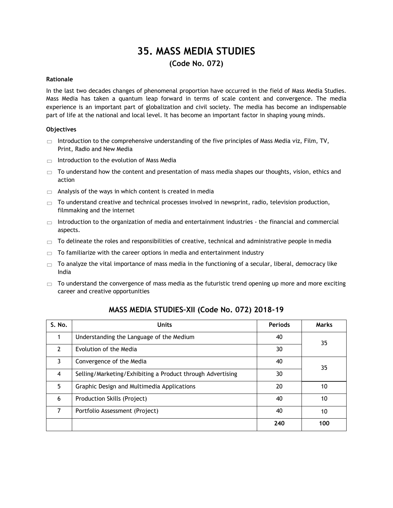# **35. MASS MEDIA STUDIES (Code No. 072)**

# **Rationale**

In the last two decades changes of phenomenal proportion have occurred in the field of Mass Media Studies. Mass Media has taken a quantum leap forward in terms of scale content and convergence. The media experience is an important part of globalization and civil society. The media has become an indispensable part of life at the national and local level. It has become an important factor in shaping young minds.

# **Objectives**

- $\Box$  Introduction to the comprehensive understanding of the five principles of Mass Media viz, Film, TV, Print, Radio and New Media
- $\Box$  Introduction to the evolution of Mass Media
- $\Box$  To understand how the content and presentation of mass media shapes our thoughts, vision, ethics and action
- $\Box$  Analysis of the ways in which content is created in media
- $\Box$  To understand creative and technical processes involved in newsprint, radio, television production, filmmaking and the internet
- $\Box$  Introduction to the organization of media and entertainment industries the financial and commercial aspects.
- $\Box$  To delineate the roles and responsibilities of creative, technical and administrative people in media
- $\Box$  To familiarize with the career options in media and entertainment industry
- $\Box$  To analyze the vital importance of mass media in the functioning of a secular, liberal, democracy like India
- $\Box$  To understand the convergence of mass media as the futuristic trend opening up more and more exciting career and creative opportunities

| S. No.         | <b>Units</b>                                               | <b>Periods</b> | <b>Marks</b> |  |  |  |
|----------------|------------------------------------------------------------|----------------|--------------|--|--|--|
|                | Understanding the Language of the Medium                   | 40             | 35           |  |  |  |
| $\mathcal{P}$  | Evolution of the Media                                     | 30             |              |  |  |  |
| 3              | Convergence of the Media                                   | 40             | 35           |  |  |  |
| $\overline{4}$ | Selling/Marketing/Exhibiting a Product through Advertising | 30             |              |  |  |  |
| 5              | Graphic Design and Multimedia Applications                 | 20             | 10           |  |  |  |
| 6              | Production Skills (Project)                                | 40             | 10           |  |  |  |
| 7              | Portfolio Assessment (Project)                             | 40             | 10           |  |  |  |
|                |                                                            | 240            | 100          |  |  |  |

# **MASS MEDIA STUDIES–XII (Code No. 072) 2018-19**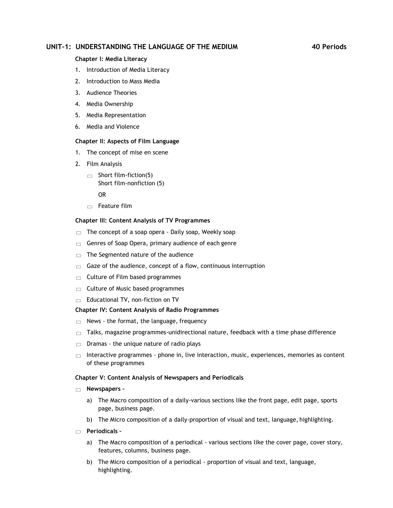# **UNIT–1: UNDERSTANDING THE LANGUAGE OF THE MEDIUM 40 Periods**

# **Chapter I: Media Literacy**

- 1. Introduction of Media Literacy
- 2. Introduction to Mass Media
- 3. Audience Theories
- 4. Media Ownership
- 5. Media Representation
- 6. Media and Violence

# **Chapter II: Aspects of Film Language**

- 1. The concept of mise en scene
- 2. Film Analysis
	- $\Box$  Short film-fiction(5) Short film-nonfiction (5)

OR

 $\Box$  Feature film

# **Chapter III: Content Analysis of TV Programmes**

- The concept of a soap opera Daily soap, Weekly soap  $\Box$
- Genres of Soap Opera, primary audience of each genre  $\Box$
- The Segmented nature of the audience  $\qquad \qquad \Box$
- Gaze of the audience, concept of a flow, continuous interruption  $\Box$
- Culture of Film based programmes  $\Box$
- $\Box$  Culture of Music based programmes
- Educational TV, non-fiction on TV  $\Box$

# **Chapter IV: Content Analysis of Radio Programmes**

- News the format, the language, frequency  $\Box$
- Talks, magazine programmes-unidirectional nature, feedback with a time phase difference  $\Box$
- Dramas the unique nature of radio plays  $\Box$
- $\Box$  Interactive programmes phone in, live interaction, music, experiences, memories as content of these programmes

# **Chapter V: Content Analysis of Newspapers and Periodicals**

- **Newspapers –**
	- a) The Macro composition of a daily-various sections like the front page, edit page, sports page, business page.
	- b) The Micro composition of a daily-proportion of visual and text, language, highlighting.
- **Periodicals –**
	- a) The Macro composition of a periodical various sections like the cover page, cover story, features, columns, business page.
	- b) The Micro composition of a periodical proportion of visual and text, language, highlighting.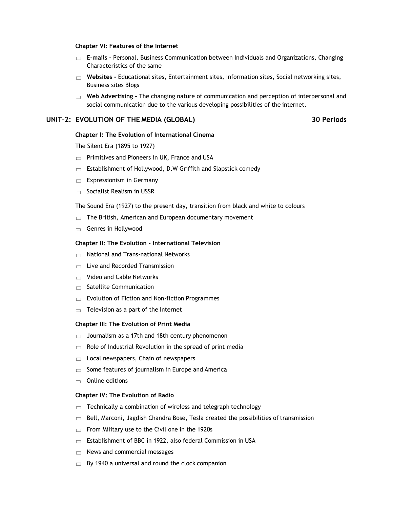# **Chapter VI: Features of the Internet**

- **E–mails -** Personal, Business Communication between Individuals and Organizations, Changing Characteristics of the same
- **Websites -** Educational sites, Entertainment sites, Information sites, Social networking sites, Business sites Blogs
- **Web Advertising -** The changing nature of communication and perception of interpersonal and social communication due to the various developing possibilities of the internet.

# **UNIT–2: EVOLUTION OF THE MEDIA (GLOBAL) 30 Periods**

### **Chapter I: The Evolution of International Cinema**

The Silent Era (1895 to 1927)

- $\Box$  Primitives and Pioneers in UK, France and USA
- Establishment of Hollywood, D.W Griffith and Slapstick comedy  $\Box$
- Expressionism in Germany  $\Box$
- $\Box$  Socialist Realism in USSR

The Sound Era (1927) to the present day, transition from black and white to colours

- $\Box$  The British, American and European documentary movement
- $\Box$  Genres in Hollywood

# **Chapter II: The Evolution - International Television**

- $\Box$  National and Trans-national Networks
- Live and Recorded Transmission  $\Box$
- Video and Cable Networks  $\Box$
- $\Box$  Satellite Communication
- $\Box$  Evolution of Fiction and Non-fiction Programmes
- Television as a part of the Internet  $\Box$

### **Chapter III: The Evolution of Print Media**

- Journalism as a 17th and 18th century phenomenon  $\Box$
- Role of Industrial Revolution in the spread of print media  $\Box$
- Local newspapers, Chain of newspapers  $\Box$
- Some features of journalism in Europe and America  $\Box$
- Online editions  $\Box$

# **Chapter IV: The Evolution of Radio**

- Technically a combination of wireless and telegraph technology  $\Box$
- Bell, Marconi, Jagdish Chandra Bose, Tesla created the possibilities of transmission  $\Box$
- From Military use to the Civil one in the 1920s  $\Box$
- Establishment of BBC in 1922, also federal Commission in USA  $\qquad \qquad \Box$
- News and commercial messages  $\Box$
- By 1940 a universal and round the clock companion $\Box$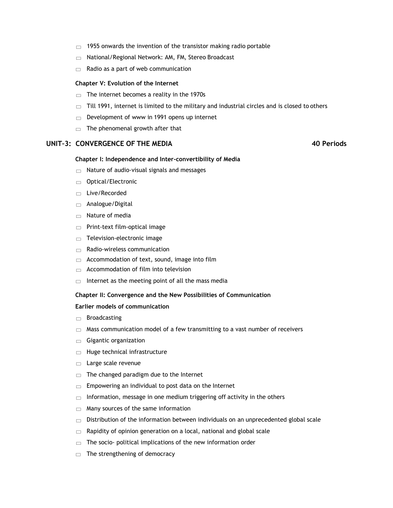- 1955 onwards the invention of the transistor making radio portable  $\Box$
- National/Regional Network: AM, FM, Stereo Broadcast  $\Box$
- Radio as a part of web communication  $\Box$

# **Chapter V: Evolution of the Internet**

- The internet becomes a reality in the 1970s  $\Box$
- Till 1991, internet is limited to the military and industrial circles and is closed to others  $\Box$
- Development of www in 1991 opens up internet  $\Box$
- The phenomenal growth after that  $\Box$

# **UNIT–3: CONVERGENCE OF THE MEDIA 40 Periods**

# **Chapter I: Independence and Inter-convertibility of Media**

- $\Box$  Nature of audio-visual signals and messages
- Optical/Electronic  $\Box$
- $\Box$  Live/Recorded
- Analogue/Digital  $\Box$
- Nature of media  $\Box$
- Print-text film-optical image  $\Box$
- Television-electronic image  $\Box$
- Radio-wireless communication  $\Box$
- Accommodation of text, sound, image into film  $\Box$
- Accommodation of film into television  $\Box$
- Internet as the meeting point of all the mass media  $\Box$

# **Chapter II: Convergence and the New Possibilities of Communication**

# **Earlier models of communication**

- Broadcasting  $\Box$
- Mass communication model of a few transmitting to a vast number of receivers  $\Box$
- Gigantic organization  $\Box$
- Huge technical infrastructure  $\Box$
- Large scale revenue  $\Box$
- The changed paradigm due to the Internet  $\Box$
- Empowering an individual to post data on the Internet  $\Box$
- Information, message in one medium triggering off activity in the others  $\Box$
- Many sources of the same information  $\Box$
- Distribution of the information between individuals on an unprecedented global scale  $\Box$
- Rapidity of opinion generation on a local, national and global scale  $\Box$
- The socio- political implications of the new information order  $\Box$
- The strengthening of democracyÞ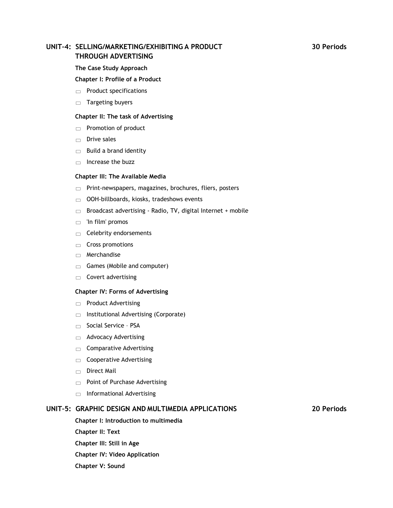# **UNIT–4: SELLING/MARKETING/EXHIBITING A PRODUCT 30 Periods THROUGH ADVERTISING**

# **The Case Study Approach**

# **Chapter I: Profile of a Product**

- $\Box$  Product specifications
- $\Box$  Targeting buyers

# **Chapter II: The task of Advertising**

- $\Box$  Promotion of product
- $\Box$  Drive sales
- $\Box$  Build a brand identity
- $\Box$  Increase the buzz

# **Chapter III: The Available Media**

- $\Box$  Print-newspapers, magazines, brochures, fliers, posters
- $\Box$ OOH-billboards, kiosks, tradeshows events
- Broadcast advertising Radio, TV, digital Internet + mobile  $\Box$
- 'In film' promos  $\Box$
- $\Box$  Celebrity endorsements
- $\Box$  Cross promotions
- $\Box$  Merchandise
- Games (Mobile and computer)  $\Box$
- Covert advertising  $\Box$

### **Chapter IV: Forms of Advertising**

- $\Box$  Product Advertising
- $\Box$  Institutional Advertising (Corporate)
- Social Service PSA
- $\Box$  Advocacy Advertising
- Comparative Advertising  $\Box$
- $\Box$  Cooperative Advertising
- Direct Mail
- $\Box$  Point of Purchase Advertising
- $\Box$  Informational Advertising

# **UNIT–5: GRAPHIC DESIGN AND MULTIMEDIA APPLICATIONS 20 Periods**

**Chapter I: Introduction to multimedia Chapter II: Text Chapter III: Still in Age Chapter IV: Video Application Chapter V: Sound**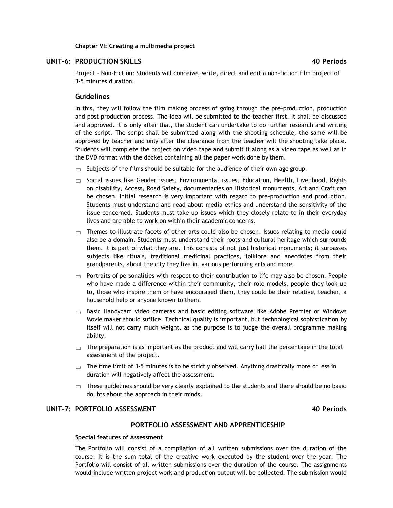# **Chapter VI: Creating a multimedia project**

# **UNIT–6: PRODUCTION SKILLS 40 Periods**

Project - Non-Fiction: Students will conceive, write, direct and edit a non-fiction film project of 3-5 minutes duration.

# **Guidelines**

In this, they will follow the film making process of going through the pre-production, production and post-production process. The idea will be submitted to the teacher first. It shall be discussed and approved. It is only after that, the student can undertake to do further research and writing of the script. The script shall be submitted along with the shooting schedule, the same will be approved by teacher and only after the clearance from the teacher will the shooting take place. Students will complete the project on video tape and submit it along as a video tape as well as in the DVD format with the docket containing all the paper work done by them.

- $\Box$  Subjects of the films should be suitable for the audience of their own age group.
- $\Box$  Social issues like Gender issues, Environmental issues, Education, Health, Livelihood, Rights on disability, Access, Road Safety, documentaries on Historical monuments, Art and Craft can be chosen. Initial research is very important with regard to pre-production and production. Students must understand and read about media ethics and understand the sensitivity of the issue concerned. Students must take up issues which they closely relate to in their everyday lives and are able to work on within their academic concerns.
- $\Box$  Themes to illustrate facets of other arts could also be chosen. Issues relating to media could also be a domain. Students must understand their roots and cultural heritage which surrounds them. It is part of what they are. This consists of not just historical monuments; it surpasses subjects like rituals, traditional medicinal practices, folklore and anecdotes from their grandparents, about the city they live in, various performing arts and more.
- $\Box$  Portraits of personalities with respect to their contribution to life may also be chosen. People who have made a difference within their community, their role models, people they look up to, those who inspire them or have encouraged them, they could be their relative, teacher, a household help or anyone known to them.
- $\Box$  Basic Handycam video cameras and basic editing software like Adobe Premier or Windows Movie maker should suffice. Technical quality is important, but technological sophistication by itself will not carry much weight, as the purpose is to judge the overall programme making ability.
- $\Box$  The preparation is as important as the product and will carry half the percentage in the total assessment of the project.
- $\Box$  The time limit of 3-5 minutes is to be strictly observed. Anything drastically more or less in duration will negatively affect the assessment.
- $\Box$  These guidelines should be very clearly explained to the students and there should be no basic doubts about the approach in their minds.

# **UNIT–7: PORTFOLIO ASSESSMENT 40 Periods**

# **PORTFOLIO ASSESSMENT AND APPRENTICESHIP**

# **Special features of Assessment**

The Portfolio will consist of a compilation of all written submissions over the duration of the course. It is the sum total of the creative work executed by the student over the year. The Portfolio will consist of all written submissions over the duration of the course. The assignments would include written project work and production output will be collected. The submission would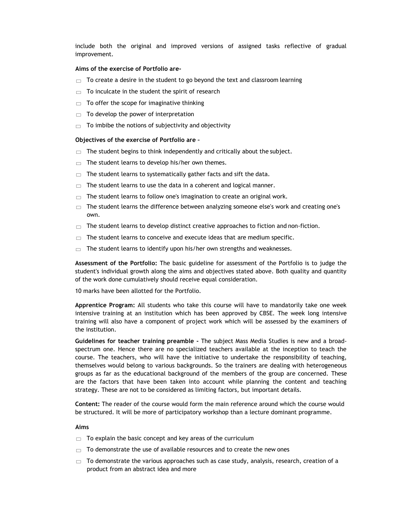include both the original and improved versions of assigned tasks reflective of gradual improvement.

### **Aims of the exercise of Portfolio are-**

- $\Box$  To create a desire in the student to go beyond the text and classroom learning
- $\Box$  To inculcate in the student the spirit of research
- To offer the scope for imaginative thinking  $\Box$
- To develop the power of interpretation  $\Box$
- $\Box$  To imbibe the notions of subjectivity and objectivity

### **Objectives of the exercise of Portfolio are –**

- $\Box$  The student begins to think independently and critically about the subject.
- $\Box$  The student learns to develop his/her own themes.
- $\Box$  The student learns to systematically gather facts and sift the data.
- $\Box$  The student learns to use the data in a coherent and logical manner.
- $\Box$  The student learns to follow one's imagination to create an original work.
- $\Box$  The student learns the difference between analyzing someone else's work and creating one's own.
- The student learns to develop distinct creative approaches to fiction and non-fiction.  $\Box$
- The student learns to conceive and execute ideas that are medium specific.  $\Box$
- The student learns to identify upon his/her own strengths and weaknesses.  $\Box$

**Assessment of the Portfolio:** The basic guideline for assessment of the Portfolio is to judge the student's individual growth along the aims and objectives stated above. Both quality and quantity of the work done cumulatively should receive equal consideration.

10 marks have been allotted for the Portfolio.

**Apprentice Program:** All students who take this course will have to mandatorily take one week intensive training at an institution which has been approved by CBSE. The week long intensive training will also have a component of project work which will be assessed by the examiners of the institution.

**Guidelines for teacher training preamble -** The subject Mass Media Studies is new and a broadspectrum one. Hence there are no specialized teachers available at the inception to teach the course. The teachers, who will have the initiative to undertake the responsibility of teaching, themselves would belong to various backgrounds. So the trainers are dealing with heterogeneous groups as far as the educational background of the members of the group are concerned. These are the factors that have been taken into account while planning the content and teaching strategy. These are not to be considered as limiting factors, but important details.

**Content:** The reader of the course would form the main reference around which the course would be structured. It will be more of participatory workshop than a lecture dominant programme.

### **Aims**

- $\Box$  To explain the basic concept and key areas of the curriculum
- $\Box$  To demonstrate the use of available resources and to create the new ones
- $\Box$  To demonstrate the various approaches such as case study, analysis, research, creation of a product from an abstract idea and more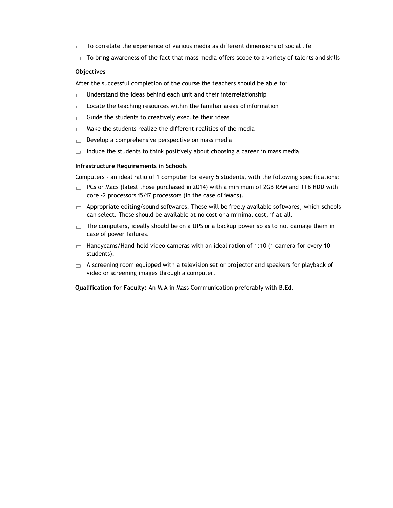- To correlate the experience of various media as different dimensions of social life  $\Box$
- To bring awareness of the fact that mass media offers scope to a variety of talents and skills  $\Box$

### **Objectives**

After the successful completion of the course the teachers should be able to:

- Understand the ideas behind each unit and their interrelationship  $\Box$
- Locate the teaching resources within the familiar areas of information  $\Box$
- Guide the students to creatively execute their ideas  $\Box$
- Make the students realize the different realities of the media  $\Box$
- Develop a comprehensive perspective on mass media  $\Box$
- Induce the students to think positively about choosing a career in mass media  $\Box$

### **Infrastructure Requirements in Schools**

Computers - an ideal ratio of 1 computer for every 5 students, with the following specifications:

- $\Box$  PCs or Macs (latest those purchased in 2014) with a minimum of 2GB RAM and 1TB HDD with core -2 processors i5/i7 processors (in the case of iMacs).
- $\Box$  Appropriate editing/sound softwares. These will be freely available softwares, which schools can select. These should be available at no cost or a minimal cost, if at all.
- $\Box$  The computers, ideally should be on a UPS or a backup power so as to not damage them in case of power failures.
- $\Box$  Handycams/Hand-held video cameras with an ideal ration of 1:10 (1 camera for every 10 students).
- $\Box$  A screening room equipped with a television set or projector and speakers for playback of video or screening images through a computer.

**Qualification for Faculty:** An M.A in Mass Communication preferably with B.Ed.